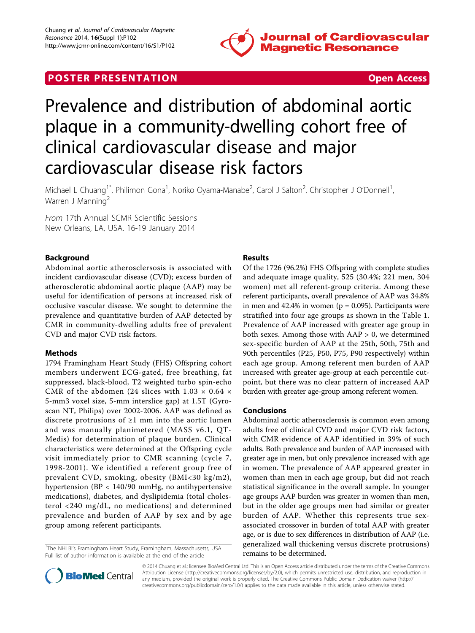

# **POSTER PRESENTATION CONSUMING THE SECOND CONSUMING THE SECOND CONSUMING THE SECOND CONSUMING THE SECOND CONSUMING THE SECOND CONSUMING THE SECOND CONSUMING THE SECOND CONSUMING THE SECOND CONSUMING THE SECOND CONSUMING**



# Prevalence and distribution of abdominal aortic plaque in a community-dwelling cohort free of clinical cardiovascular disease and major cardiovascular disease risk factors

Michael L Chuang<sup>1\*</sup>, Philimon Gona<sup>1</sup>, Noriko Oyama-Manabe<sup>2</sup>, Carol J Salton<sup>2</sup>, Christopher J O'Donnell<sup>1</sup> , Warren J Manning<sup>2</sup>

From 17th Annual SCMR Scientific Sessions New Orleans, LA, USA. 16-19 January 2014

## Background

Abdominal aortic atherosclersosis is associated with incident cardiovascular disease (CVD); excess burden of atherosclerotic abdominal aortic plaque (AAP) may be useful for identification of persons at increased risk of occlusive vascular disease. We sought to determine the prevalence and quantitative burden of AAP detected by CMR in community-dwelling adults free of prevalent CVD and major CVD risk factors.

#### Methods

1794 Framingham Heart Study (FHS) Offspring cohort members underwent ECG-gated, free breathing, fat suppressed, black-blood, T2 weighted turbo spin-echo CMR of the abdomen (24 slices with  $1.03 \times 0.64 \times$ 5-mm3 voxel size, 5-mm interslice gap) at 1.5T (Gyroscan NT, Philips) over 2002-2006. AAP was defined as discrete protrusions of ≥1 mm into the aortic lumen and was manually planimetered (MASS v6.1, QT-Medis) for determination of plaque burden. Clinical characteristics were determined at the Offspring cycle visit immediately prior to CMR scanning (cycle 7, 1998-2001). We identified a referent group free of prevalent CVD, smoking, obesity (BMI<30 kg/m2), hypertension (BP < 140/90 mmHg, no antihypertensive medications), diabetes, and dyslipidemia (total cholesterol <240 mg/dL, no medications) and determined prevalence and burden of AAP by sex and by age group among referent participants.

<sup>1</sup>The NHLBI's Framingham Heart Study, Framingham, Massachusetts, USA Full list of author information is available at the end of the article

## Results

Of the 1726 (96.2%) FHS Offspring with complete studies and adequate image quality, 525 (30.4%; 221 men, 304 women) met all referent-group criteria. Among these referent participants, overall prevalence of AAP was 34.8% in men and  $42.4\%$  in women ( $p = 0.095$ ). Participants were stratified into four age groups as shown in the Table [1](#page-1-0). Prevalence of AAP increased with greater age group in both sexes. Among those with  $AAP > 0$ , we determined sex-specific burden of AAP at the 25th, 50th, 75th and 90th percentiles (P25, P50, P75, P90 respectively) within each age group. Among referent men burden of AAP increased with greater age-group at each percentile cutpoint, but there was no clear pattern of increased AAP burden with greater age-group among referent women.

#### Conclusions

Abdominal aortic atherosclerosis is common even among adults free of clinical CVD and major CVD risk factors, with CMR evidence of AAP identified in 39% of such adults. Both prevalence and burden of AAP increased with greater age in men, but only prevalence increased with age in women. The prevalence of AAP appeared greater in women than men in each age group, but did not reach statistical significance in the overall sample. In younger age groups AAP burden was greater in women than men, but in the older age groups men had similar or greater burden of AAP. Whether this represents true sexassociated crossover in burden of total AAP with greater age, or is due to sex differences in distribution of AAP (i.e. generalized wall thickening versus discrete protrusions) remains to be determined.



© 2014 Chuang et al.; licensee BioMed Central Ltd. This is an Open Access article distributed under the terms of the Creative Commons Attribution License [\(http://creativecommons.org/licenses/by/2.0](http://creativecommons.org/licenses/by/2.0)), which permits unrestricted use, distribution, and reproduction in any medium, provided the original work is properly cited. The Creative Commons Public Domain Dedication waiver [\(http://](http://creativecommons.org/publicdomain/zero/1.0/) [creativecommons.org/publicdomain/zero/1.0/](http://creativecommons.org/publicdomain/zero/1.0/)) applies to the data made available in this article, unless otherwise stated.